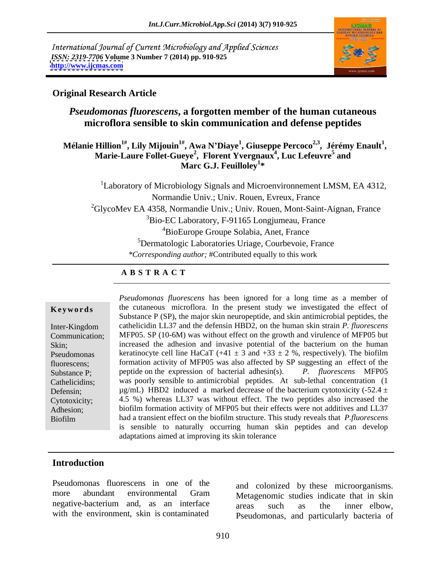International Journal of Current Microbiology and Applied Sciences *ISSN: 2319-7706* **Volume 3 Number 7 (2014) pp. 910-925 <http://www.ijcmas.com>**



## **Original Research Article**

## *Pseudomonas fluorescens***, a forgotten member of the human cutaneous microflora sensible to skin communication and defense peptides**

 **Mélanie Hillion<sup>1#</sup>, Lily Mijouin<sup>1#</sup>, Awa N'Diaye<sup>1</sup>, Giuseppe Percoco<sup>2,3</sup>, Jérémy Enault<sup>1</sup>,** Hillion<sup>1#</sup>, Lily Mijouin<sup>1#</sup>, Awa N'Diaye<sup>1</sup>, Giuseppe Percoco<sup>2,3</sup>, Jérémy Enault<sup>1</sup>,<br>Marie-Laure Follet-Gueye<sup>2</sup>, Florent Yvergnaux<sup>4</sup>, Luc Lefeuvre<sup>5</sup> and **, Luc Lefeuvre<sup>5</sup> and Marc G.J. Feuilloley<sup>1</sup> \***

 $1$ Laboratory of Microbiology Signals and Microenvironnement LMSM, EA 4312, Normandie Univ.; Univ. Rouen, Evreux, France 2GlycoMev EA 4358, Normandie Univ.; Univ. Rouen, Mont-Saint-Aignan, France <sup>3</sup>Bio-EC Laboratory, F-91165 Longjumeau, France 4BioEurope Groupe Solabia, Anet, France 5Dermatologic Laboratories Uriage, Courbevoie, France *\*Corresponding author;* #Contributed equally to this work

## **A B S T R A C T**

**Keywords** the cutaneous microflora. In the present study we investigated the effect of Inter-Kingdom cathelicidin LL37 and the defensin HBD2, on the human skin strain *P. fluorescens* Communication; MFP05. SP (10-6M) was without effect on the growth and virulence of MFP05 but Skin; increased the adhesion and invasive potential of the bacterium on the human Pseudomonas keratinocyte cell line HaCaT  $(+41 \pm 3$  and  $+33 \pm 2$  %, respectively). The biofilm fluorescens; formation activity of MFP05 was also affected by SP suggesting an effect of the Substance P; peptide on the expression of bacterial adhesin(s). *P. fluorescens* MFP05 Cathelicidins; was poorly sensible to antimicrobial peptides. At sub-lethal concentration (1 Defensin;  $\mu$ g/mL) HBD2 induced a marked decrease of the bacterium cytotoxicity (-52.4 ± Cytotoxicity; 4.5 %) whereas LL37 was without effect. The two peptides also increased the Adhesion; biofilm formation activity of MFP05 but their effects were not additives and LL37 Biofilm had a transient effect on the biofilm structure. This study reveals that *P.fluorescens Pseudomonas fluorescens* has been ignored for a long time as a member of Substance P (SP), the major skin neuropeptide, and skin antimicrobial peptides, the is sensible to naturally occurring human skin peptides and can develop adaptations aimed at improving its skin tolerance

## **Introduction**

Pseudomonas fluorescens in one of the more abundant environmental Gram Metagenomic studies indicate that in skin negative-bacterium and, as an interface areas such as the inner elbow. with the environment, skin is contaminated

and colonized by these microorganisms. Metagenomic studies indicate that in skin areas such as the inner elbow, Pseudomonas, and particularly bacteria of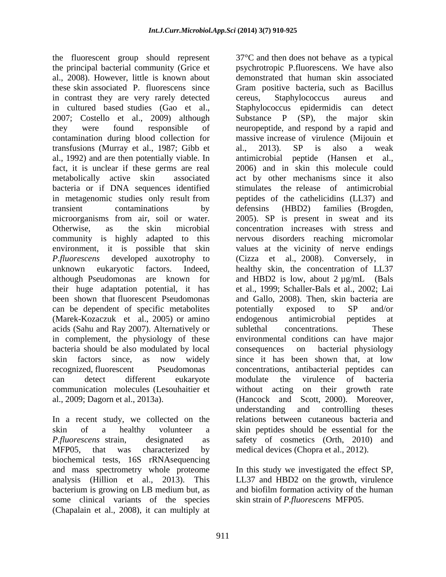the fluorescent group should represent al., 2008). However, little is known about in contrast they are very rarely detected in cultured based studies (Gao et al., 2007; Costello et al., 2009) although contamination during blood collection for transfusions (Murray et al., 1987; Gibb et al., 2013). SP is also a weak al., 1992) and are then potentially viable. In community is highly adapted to this can be dependent of specific metabolites by potentially exposed to SP and/or (Marek-Kozaczuk et al., 2005) or amino acids (Sahu and Ray 2007). Alternatively or sublethal concentrations. These in complement, the physiology of these bacteria should be also modulated by local consequences on bacterial physiology communication molecules (Lesouhaitier et

In a recent study, we collected on the MFP05, that was characterized by medical devices (Chopra et al., 2012). biochemical tests, 16S rRNAsequencing and mass spectrometry whole proteome In this study we investigated the effect SP, analysis (Hillion et al., 2013). This LL37 and HBD2 on the growth, virulence bacterium is growing on LB medium but, as and biofilm formation activity of the human some clinical variants of the species (Chapalain et al., 2008), it can multiply at

the principal bacterial community (Grice et psychrotropic P.fluorescens. We have also these skin associated P. fluorescens since Gram positive bacteria, such as Bacillus they were found responsible of neuropeptide, and respond by a rapid and fact, it is unclear if these germs are real 2006) and in skin this molecule could metabolically active skin associated act by other mechanisms since it also bacteria or if DNA sequences identified stimulates the release of antimicrobial in metagenomic studies only result from peptides of the cathelicidins (LL37) and transient contaminations by defensins (HBD2) families (Brogden, microorganisms from air, soil or water. 2005). SP is present in sweat and its<br>Otherwise, as the skin microbial concentration increases with stress and environment, it is possible that skin values at the vicinity of nerve endings *P.fluorescens* developed auxotrophy to (Cizza et al., 2008). Conversely, in unknown eukaryotic factors. Indeed, healthy skin, the concentration of LL37 although Pseudomonas are known for and HBD2 is low, about 2  $\mu$ g/mL (Bals their huge adaptation potential, it has et al., 1999; Schaller-Bals et al., 2002; Lai been shown that fluorescent Pseudomonas and Gallo, 2008). Then, skin bacteria are skin factors since, as now widely since ithas been shown that, at low recognized, fluorescent Pseudomonas concentrations, antibacterial peptides can can detect different eukaryote modulate the virulence of bacteria al., 2009; Dagorn et al., 2013a). (Hancock and Scott, 2000). Moreover, skin of a healthy volunteer a skin peptides should be essential for the *P.fluorescens* strain, designated as safety of cosmetics (Orth, 2010) and 37°C and then does not behave as a typical demonstrated that human skin associated cereus, Staphylococcus aureus and Staphylococcus epidermidis can detect Substance  $P$  (SP), the major massive increase of virulence (Mijouin et al., 2013). SP is also a weak antimicrobial peptide (Hansen et al., 2005). SP is present in sweat and its concentration increases with stress and nervous disorders reaching micromolar potentially exposed to SP and/or endogenous antimicrobial peptides at sublethal concentrations. These environmental conditions can have major consequences on bacterial physiology modulate the virulence of bacteria without acting on their growth rate understanding and controlling theses relations between cutaneous bacteria and

> and biofilm formation activity of the human skin strain of *P.fluorescens* MFP05.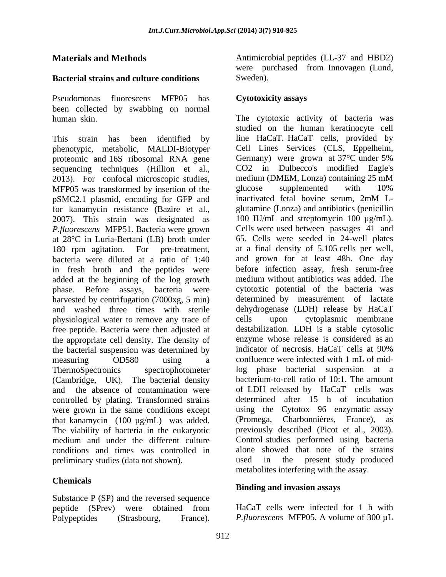## **Bacterial strains and culture conditions**

Pseudomonas fluorescens MFP05 has been collected by swabbing on normal human skin.

phenotypic, metabolic, MALDI-Biotyper Cell Lines Services (CLS, Eppelheim, proteomic and 16S ribosomal RNA gene Germany) were grown at 37°C under 5% proteomic and 16S ribosomal RNA gene sequencing techniques (Hillion et al., 2013). For confocal microscopic studies, medium (DMEM, Lonza) containing 25 mM<br>MFP05 was transformed by insertion of the glucose supplemented with 10% MFP05 was transformed by insertion of the glucose supplemented with 10%<br>nSMC2.1 plasmid encoding for GFP and inactivated fetal bovine serum, 2mM LpSMC2.1 plasmid, encoding for GFP and 2007). This strain was designated as *P.fluorescens* MFP51. Bacteria were grown at 28°C in Luria-Bertani (LB) broth under in fresh broth and the peptides were before infection assay, fresh serum-free<br>added at the beginning of the log growth medium without antibiotics was added The added at the beginning of the log growth phase. Before assays, bacteria were harvested by centrifugation (7000xg, 5 min) and washed three times with sterile dehydrogenase (LDH) release by HaCaT physiological water to remove any trace of cells upon cytoplasmic membrane physiological water to remove any trace of free peptide. Bacteria were then adjusted at the appropriate cell density. The density of enzyme whose release is considered as an the bacterial suspension was determined by indicator of necrosis. HaCaT cells at 90% the bacterial suspension was determined by (Cambridge, UK). The bacterial density and the absence of contamination were controlled by plating. Transformed strains were grown in the same conditions except that kanamycin (100 µg/mL) was added. The viability of bacteria in the eukaryotic preliminary studies (data not shown). weed in the present study produced

Substance P (SP) and the reversed sequence

**Materials and Methods Materials and Methods Materials and HBD2**) were purchased from Innovagen (Lund, Sweden).

## **Cytotoxicity assays**

This strain has been identified by line HaCaT. HaCaT cells, provided by for kanamycin resistance (Bazire et al., glutamine (Lonza) and antibiotics (penicillin 180 rpm agitation. For pre-treatment, at a final density of 5.105 cells per well, bacteria were diluted at a ratio of 1:40 and grown for at least 48h. One day measuring OD580 using a confluence were infected with 1 mL of mid-ThermoSpectronics spectrophotometer log phase bacterial suspension at a medium and under the different culture Control studies performed using bacteria conditions and times was controlled in alone showed that note of the strains **Materials and Methods**<br> **Antimoxistic propagate (11.37 and HBD2)**<br> **Positive of the system of the system of the system of the system of the system of the system of the system of the system of the system of the system of** The cytotoxic activity of bacteria was studied on the human keratinocyte cell Cell Lines Services (CLS, Eppelheim, Germany) were grown at 37°C under 5% CO2 in Dulbecco's modified Eagle's medium (DMEM, Lonza) containing 25 mM glucose supplemented with 10% inactivated fetal bovine serum, 2mM L- 100 IU/mL and streptomycin 100 µg/mL). Cells were used between passages 41 and 65. Cells were seeded in 24-well plates before infection assay, fresh serum-free medium without antibiotics was added. The cytotoxic potential of the bacteria was determined by measurement of lactate dehydrogenase (LDH) release by HaCaT cells upon cytoplasmic membrane destabilization. LDH is a stable cytosolic enzyme whose release is considered as an indicator of necrosis. HaCaT cells at 90% bacterium-to-cell ratio of 10:1. The amount of LDH released by HaCaT cells was determined after 15 h of incubation using the Cytotox 96 enzymatic assay (Promega, Charbonnières, France), previously described (Picot et al., 2003). used in the present study produced metabolites interfering with the assay.

## **Chemicals Binding and invasion assays**

peptide (SPrev) were obtained from HaCaT cells were infected for 1 h with HaCaT cells were infected for 1 h with *P.fluorescens* MFP05. A volume of 300 µL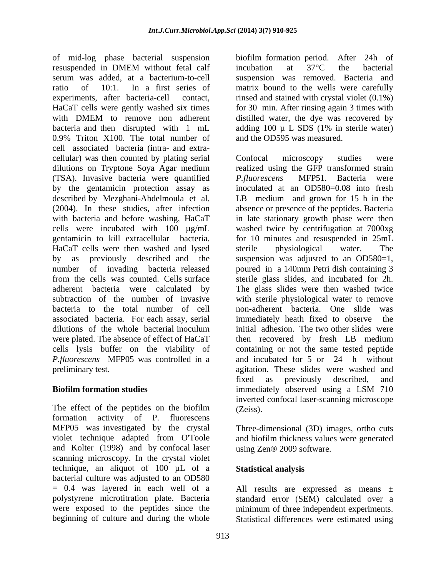of mid-log phase bacterial suspension resuspended in DMEM without fetal calf incubation at 37°C the bacterial serum was added, at a bacterium-to-cell suspension was removed. Bacteria and ratio of 10:1. In a first series of matrix bound to the wells were carefully experiments, after bacteria-cell contact, rinsed and stained with crystal violet (0.1%) HaCaT cells were gently washed six times with DMEM to remove non adherent distilled water, the dye was recovered by bacteria and then disrupted with 1 mL adding 100 µ L SDS (1% in sterile water) 0.9% Triton X100. The total number of and the OD595 was measured. cell associated bacteria (intra- and extra cellular) was then counted by plating serial (TSA). Invasive bacteria were quantified by the gentamicin protection assay as described by Mezghani-Abdelmoula et al. HaCaT cells were then washed and lysed sterile physiological water. The dilutions of the whole bacterial inoculum *P.fluorescens* MFP05 was controlled in a

The effect of the peptides on the biofilm (Zeiss). formation activity of P. fluorescens MFP05 was investigated by the crystal violet technique adapted from O'Toole and biofilm thickness values were generated and Kolter (1998) and by confocal laser scanning microscopy. In the crystal violet technique, an aliquot of 100 µL of a Statistical analysis bacterial culture was adjusted to an OD580  $= 0.4$  was layered in each well of a  $=$  All results are expressed as means  $\pm$ polystyrene microtitration plate. Bacteria standard error (SEM) calculated over a were exposed to the peptides since the minimum of three independent experiments.

biofilm formation period. After 24h of incubation at 37°C the bacterial for 30 min. After rinsing again 3 times with distilled water, the dye was recovered by and the OD595 was measured.

dilutions on Tryptone Soya Agar medium realized using the GFP transformed strain (2004). In these studies, after infection absence or presence of the peptides. Bacteria with bacteria and before washing, HaCaT in late stationary growth phase were then cells were incubated with 100 µg/mL washed twice by centrifugation at 7000xg gentamicin to kill extracellular bacteria. for 10 minutes and resuspended in 25mL by as previously described and the suspension was adjusted to an OD580=1, number of invading bacteria released poured in a 140mm Petri dish containing 3 from the cells was counted. Cells surface sterile glass slides, and incubated for 2h. adherent bacteria were calculated by The glass slides were then washed twice subtraction of the number of invasive with sterile physiological water to remove bacteria to the total number of cell non-adherent bacteria. One slide was associated bacteria. For each assay, serial immediately heath fixed to observe the were plated. The absence of effect of HaCaT then recovered by fresh LB medium cells lysis buffer on the viability of containing or not the same tested peptide preliminary test. agitation. These slides were washed and **Biofilm formation studies** immediately observed using a LSM 710 Confocal microscopy studies were *P.fluorescens* MFP51. Bacteria were inoculated at an OD580=0.08 into fresh LB medium and grown for 15 h in the sterile physiological water. The initial adhesion. The two other slides were and incubated for 5 or 24 h without fixed as previously described, and immediately observed using a LSM 710 inverted confocal laser-scanning microscope (Zeiss).

> Three-dimensional (3D) images, ortho cuts using Zen® 2009 software.

## **Statistical analysis**

beginning of culture and during the whole Statistical differences were estimated using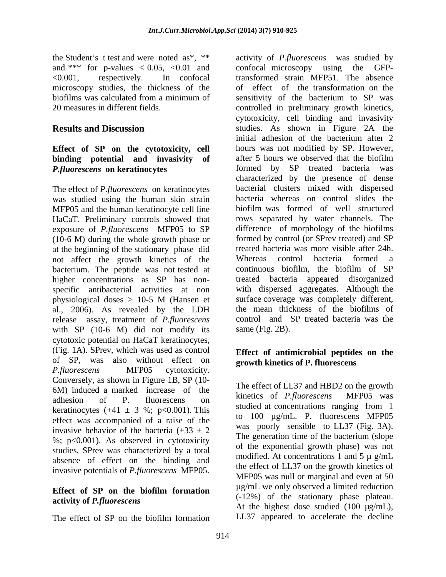microscopy studies, the thickness of the

## **Effect of SP on the cytotoxicity, cell binding potential and invasivity of**

The effect of *P.fluorescens* on keratinocytes was studied using the human skin strain exposure of *P.fluorescens* MFP05 to SP (10-6 M) during the whole growth phase or at the beginning of the stationary phase did not affect the growth kinetics of the Whereas control bacteria formed a bacterium. The peptide was not tested at specific antibacterial activities at non physiological doses > 10-5 M (Hansen et al., 2006). As revealed by the LDH release assay, treatment of *P.fluorescens*  with SP (10-6 M) did not modify its cytotoxic potential on HaCaT keratinocytes, (Fig. 1A). SPrev, which was used as control of SP, was also without effect on *P.fluorescens* MFP05 cytotoxicity. Conversely, as shown in Figure 1B, SP (10- 6M) induced a marked increase of the  $\frac{1}{2}$  interest of *E. Fluorescens* MFP05 was adhesion of P. fluorescens on **KILLER COLLA** *I*, *Juorescens* MITTO was keratinocytes  $(+41 \pm 3 \%)$ ; p<0.001). This studied at concentrations ranging from 1 effect was accompanied of a raise of the invasive behavior of the bacteria  $(+33 \pm 2)$ %; p<0.001). As observed in cytotoxicity studies, SPrev was characterized by a total absence of effect on the binding and invasive potentials of *P.fluorescens* MFP05.

# **activity of** *P.fluorescens*

The effect of SP on the biofilm formation

the Student's t test and were noted as\*, \*\* activity of *P*. *fluorescens* was studied by and \*\*\* for p-values  $< 0.05$ ,  $<0.01$  and confocal microscopy using the GFP-<0.001, respectively. In confocal transformed strain MFP51. The absence biofilms was calculated from a minimum of sensitivity of the bacterium to SP was 20 measures in different fields. controlled in preliminary growth kinetics, **Results and Discussion** studies. As shown in Figure 2A the *P.fluorescens* **on keratinocytes**  formed by SP treated bacteria was MFP05 and the human keratinocyte cell line biofilm was formed of well structured HaCaT. Preliminary controls showed that rows separated by water channels. The higher concentrations as SP has non- treated bacteria appeared disorganized activity of *P.fluorescens* was studied by confocal microscopy using the GFPof effect of the transformation on the cytotoxicity, cell binding and invasivity initial adhesion of the bacterium after 2 hours was not modified by SP. However, after 5 hours we observed that the biofilm characterized by the presence of dense bacterial clusters mixed with dispersed bacteria whereas on control slides the difference of morphology of the biofilms formed by control (or SPrev treated) and SP treated bacteria was more visible after 24h. Whereas control bacteria formed a continuous biofilm, the biofilm of SP with dispersed aggregates. Although the surface coverage was completely different, the mean thickness of the biofilms of control and SP treated bacteria was the same (Fig. 2B).

## **Effect of antimicrobial peptides on the growth kinetics of P. fluorescens**

**Effect of SP on the biofilm formation**  The effect of LL37 and HBD2 on the growth kinetics of *P.fluorescens* MFP05 was studied at concentrations ranging from 1 to 100 µg/mL. P. fluorescens MFP05 was poorly sensible to LL37 (Fig. 3A). The generation time of the bacterium (slope of the exponential growth phase) was not modified. At concentrations 1 and 5  $\mu$  g/mL the effect of LL37 on the growth kinetics of MFP05 was null or marginal and even at 50 µg/mL we only observed a limited reduction (-12%) of the stationary phase plateau. At the highest dose studied  $(100 \text{ µg/mL})$ , LL37 appeared to accelerate the decline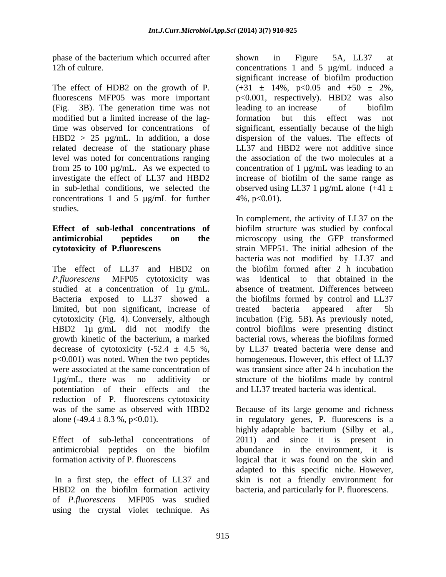phase of the bacterium which occurred after shown in Figure 5A, LL37 at

(Fig. 3B). The generation time was not modified but a limited increase of the lag-<br>formation but this effect was not related decrease of the stationary phase level was noted for concentrations ranging concentrations 1 and 5  $\mu$ g/mL for further 4%, p<0.01). studies.

studied at a concentration of 1µ g/mL. Bacteria exposed to LL37 showed a limited, but non significant, increase of treated bacteria appeared after 5h growth kinetic of the bacterium, a marked p<0.001) was noted. When the two peptides potentiation of their effects and the reduction of P. fluorescens cytotoxicity was of the same as observed with HBD2 Because of its large genome and richness

Effect of sub-lethal concentrations of 2011) and since it is present in

HBD2 on the biofilm formation activity of *P.fluorescens* MFP05 was studied using the crystal violet technique. As

12h of culture. Concentrations 1 and 5 µg/mL induced a The effect of HDB2 on the growth of P.  $(+31 \pm 14\%, p<0.05$  and  $+50 \pm 2\%,$ fluorescens MFP05 was more important p<0.001, respectively). HBD2 was also time was observed for concentrations of significant, essentially because of the high HBD2 > 25 µg/mL. In addition, a dose dispersion of the values. The effects of from 25 to 100 µg/mL. As we expected to concentration of 1 µg/mL was leading to an investigate the effect of LL37 and HBD2 increase of biofilm of the same range as in sub-lethal conditions, we selected the observed using LL37 1  $\mu$ g/mL alone (+41  $\pm$ shown in Figure 5A, LL37 at significant increase of biofilm production leading to an increase of biofilm formation but this effect was not LL37 and HBD2 were not additive since the association of the two molecules at a  $4\%, p<0.01$ ).

**Effect of sub-lethal concentrations of** biofilm structure was studied by confocal **antimicrobial peptides on the** microscopy using the GFP transformed **cytotoxicity of P.fluorescens** strain MFP51. The initial adhesion of the The effect of LL37 and HBD2 on the biofilm formed after 2 h incubation *P.fluorescens* MFP05 cytotoxicity was was identical to that obtained in the cytotoxicity (Fig. 4). Conversely, although incubation (Fig. 5B). As previously noted, HBD2 1µ g/mL did not modify the control biofilms were presenting distinct decrease of cytotoxicity  $(-52.4 \pm 4.5 \%)$ , by LL37 treated bacteria were dense and were associated at the same concentration of was transient since after 24 h incubation the 1µg/mL, there was no additivity or structure of the biofilms made by control In complement, the activity of LL37 on the bacteria was not modified by LL37 and absence of treatment. Differences between the biofilms formed by control and LL37 treated bacteria appeared after 5h bacterial rows, whereas the biofilms formed homogeneous. However, this effect of LL37 and LL37 treated bacteria was identical.

alone  $(-49.4 \pm 8.3 \%)$ ,  $p<0.01$ ). in regulatory genes, P. fluorescens is a antimicrobial peptides on the biofilm formation activity of P. fluorescens logical that it was found on the skin and In a first step, the effect of LL37 and skin is not a friendly environment for highly adaptable bacterium (Silby et al., and since it is present abundance in the environment, it is adapted to this specific niche. However, bacteria, and particularly for P. fluorescens.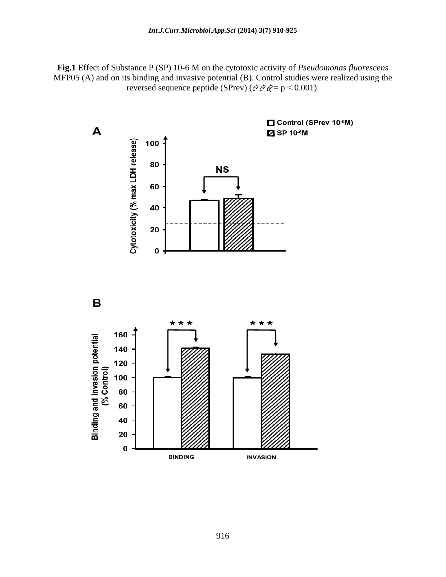**Fig.1** Effect of Substance P (SP) 10-6 M on the cytotoxic activity of *Pseudomonas fluorescens*  MFP05 (A) and on its binding and invasive potential (B). Control studies were realized using the reversed sequence peptide (SPrev) ( $\hat{\varphi} \hat{\varphi} = p < 0.001$ ).

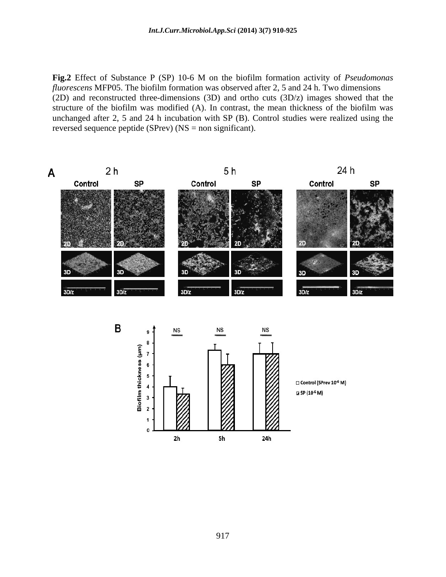**Fig.2** Effect of Substance P (SP) 10-6 M on the biofilm formation activity of *Pseudomonas fluorescens* MFP05. The biofilm formation was observed after 2, 5 and 24 h. Two dimensions (2D) and reconstructed three-dimensions (3D) and ortho cuts (3D/z) images showed that the structure of the biofilm was modified (A). In contrast, the mean thickness of the biofilm was unchanged after 2, 5 and 24 h incubation with SP  $(B)$ . Control studies were realized using the reversed sequence peptide (SPrev) (NS = non significant).

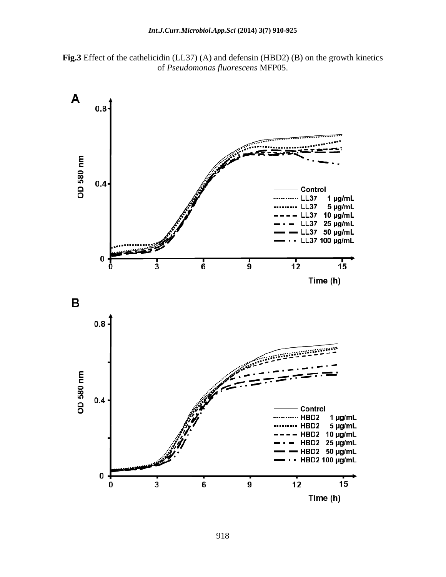

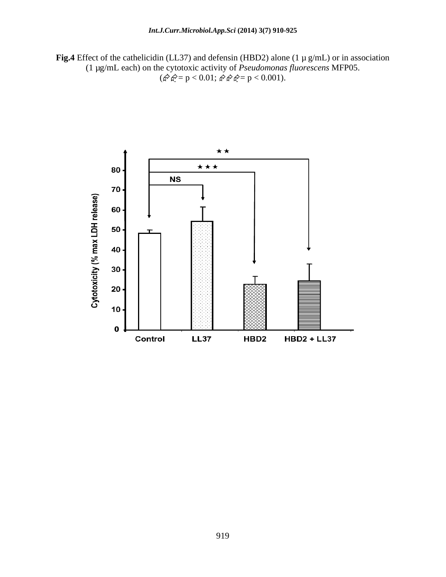**Fig.4** Effect of the cathelicidin (LL37) and defensin (HBD2) alone (1 µ g/mL) or in association (1 µg/mL each) on the cytotoxic activity of *Pseudomonas fluorescens* MFP05.  $(\mathbb{A}^2 \mathbb{A}^2 = p < 0.01; \, \mathbb{A}^2 \mathbb{A}^2 = p < 0.001).$ 

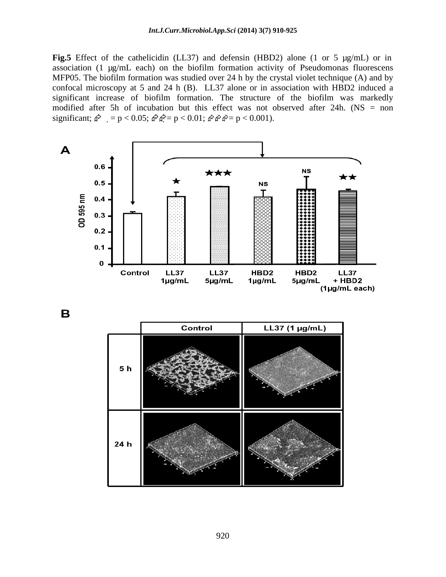### *Int.J.Curr.Microbiol.App.Sci* **(2014) 3(7) 910-925**

**Fig.5** Effect of the cathelicidin (LL37) and defensin (HBD2) alone (1 or 5 µg/mL) or in association (1 µg/mL each) on the biofilm formation activity of Pseudomonas fluorescens MFP05. The biofilm formation was studied over 24 h by the crystal violet technique  $(A)$  and by confocal microscopy at 5 and 24 h (B). LL37 alone or in association with HBD2 induced a significant increase of biofilm formation. The structure of the biofilm was markedly modified after 5h of incubation but this effect was not observed after 24h. (NS = non significant;  $\hat{\varphi} = p < 0.05$ ;  $\hat{\varphi} \hat{\varphi} = p < 0.01$ ;  $\hat{\varphi} \hat{\varphi} \hat{\varphi} = p < 0.001$ ).



B

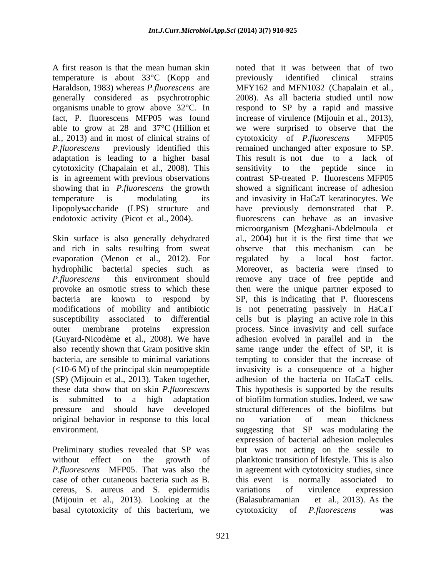A first reason is that the mean human skin noted that it was between that of two temperature is about 33°C (Kopp and generally considered as psychrotrophic al., 2013) and in most of clinical strains of extended exponentially extended to the MFP05 adaptation is leading to a higher basal cytotoxicity (Chapalain et al., 2008). This is in agreement with previous observations endotoxic activity (Picot et al., 2004).

Skin surface is also generally dehydrated and rich in salts resulting from sweat observe that this mechanism can be evaporation (Menon et al., 2012). For regulated by a local host factor. (Guyard-Nicodème et al., 2008). We have adhesion evolved in parallel and in the original behavior in response to this local a no variation of mean thickness

Preliminary studies revealed that SP was cereus, S. aureus and S. epidermidis (Mijouin et al., 2013). Looking at the (Balasubramanian et al., 2013). As the basal cytotoxicity of this bacterium, we cytotoxicity of *P.fluorescens* was

Haraldson, 1983) whereas *P.fluorescens* are MFY162 and MFN1032 (Chapalain et al., organisms unable to grow above 32°C. In respond to SP by a rapid and massive fact, P. fluorescens MFP05 was found increase of virulence (Mijouin et al., 2013), able to grow at 28 and 37°C (Hillion et we were surprised to observe that the *P.fluorescens* previously identified this remained unchanged after exposure to SP. showing that in *P.fluorescens* the growth showed a significant increase of adhesion temperature is modulating its and invasivity in HaCaT keratinocytes. We lipopolysaccharide (LPS) structure and have previously demonstrated that P. hydrophilic bacterial species such as Moreover, as bacteria were rinsed to *P.fluorescens* this environment should remove any trace of free peptide and provoke an osmotic stress to which these then were the unique partner exposed to bacteria are known to respond by SP, this is indicating that P. fluorescens modifications of mobility and antibiotic is not penetrating passively in HaCaT susceptibility associated to differential cells but is playing an active role in this outer membrane proteins expression process. Since invasivity and cell surface also recently shown that Gram positive skin same range under the effect of SP, it is bacteria, are sensible to minimal variations tempting to consider that the increase of (<10-6 M) of the principal skin neuropeptide invasivity is a consequence of a higher (SP) (Mijouin et al., 2013). Taken together, adhesion of the bacteria on HaCaT cells. these data show that on skin *P.fluorescens*  This hypothesis is supported by the results is submitted to a high adaptation of biofilm formation studies. Indeed, we saw pressure and should have developed structural differences of the biofilms but environment. The suggesting that SP was modulating the without effect on the growth of planktonic transition of lifestyle. This is also *P.fluorescens* MFP05. That was also the in agreement with cytotoxicity studies, since case of other cutaneous bacteria such as B. this event is normally associated to previously identified clinical strains 2008). As all bacteria studied until now cytotoxicity of *P.fluorescens* This result is not due to a lack of sensitivity to the peptide since contrast SP-treated P. fluorescens MFP05 fluorescens can behave as an invasive microorganism (Mezghani-Abdelmoula et al., 2004) but it is the first time that we observe that this mechanism can be regulated by a local host factor. adhesion evolved in parallel and in no variation of mean thickness expression of bacterial adhesion molecules but was not acting on the sessile to variations of virulence expression (Balasubramanian et al., 2013). As the cytotoxicity of *P.fluorescens* was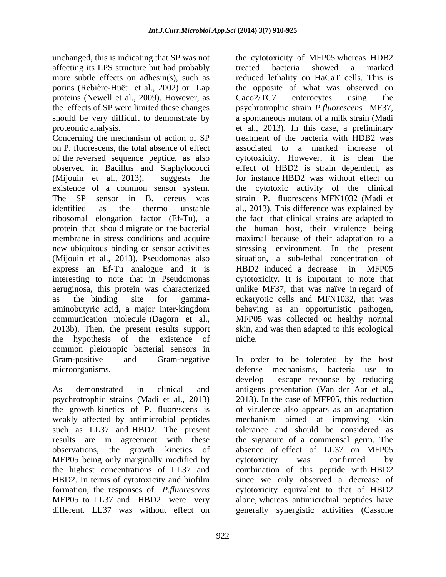affecting its LPS structure but had probably treated bacteria showed a marked proteins (Newell et al., 2009). However, as  $Caco2/TC7$  enterocytes using the

Concerning the mechanism of action of SP on P. fluorescens, the total absence of effect (Mijouin et al., 2013). Pseudomonas also express an Ef-Tu analogue and it is HBD2 induced a decrease in MFP05 the hypothesis of the existence of common pleiotropic bacterial sensors in

weakly affected by antimicrobial peptides MFP05 being only marginally modified by<br>the highest concentrations of LL37 and<br>combination of this peptide with HBD2 formation, the responses of *P.fluorescens*  different. LL37 was without effect on generally synergistic activities (Cassone

unchanged, this is indicating that SP was not the cytotoxicity of MFP05 whereas HDB2 more subtle effects on adhesin(s), such as reduced lethality on HaCaT cells. This is porins (Rebière-Huët et al., 2002) or Lap the opposite of what was observed on the effects of SP were limited these changes psychrotrophic strain *P.fluorescens* MF37, should be very difficult to demonstrate by a spontaneous mutant of a milk strain (Madi proteomic analysis. et al., 2013). In this case, a preliminary of the reversed sequence peptide, as also cytotoxicity. However, it is clear the observed in Bacillus and Staphylococci effect of HBD2 is strain dependent, as (Mijouin et al., 2013), suggests the for instance HBD2 was without effect on existence of a common sensor system. the cytotoxic activity of the clinical The SP sensor in B. cereus was strain P. fluorescens MFN1032 (Madi et identified as the thermo unstable al., 2013). This difference was explained by ribosomal elongation factor (Ef-Tu), a the fact that clinical strains are adapted to protein that should migrate on the bacterial in the human host, their virulence being membrane in stress conditions and acquire maximal because of their adaptation to a new ubiquitous binding or sensor activities stressing environment. In the present interesting to note that in Pseudomonas cytotoxicity. It is important to note that aeruginosa, this protein was characterized unlike MF37, that was naïve in regard of as the binding site for gamma- eukaryotic cells and MFN1032, that was aminobutyric acid, a major inter-kingdom behaving as an opportunistic pathogen, communication molecule (Dagorn et al., MFP05 was collected on healthy normal 2013b). Then, the present results support skin, and was then adapted to this ecological treated bacteria showed a marked Caco2/TC7 enterocytes using the treatment of the bacteria with HDB2 was associated to a marked increase of situation, a sub-lethal concentration of HBD2 induced a decrease in niche.

Gram-positive and Gram-negative In order to be tolerated by the host microorganisms. defense mechanisms, bacteria use to As demonstrated in clinical and antigens presentation (Van der Aar et al., psychrotrophic strains (Madi et al., 2013) 2013). In the case of MFP05, this reduction the growth kinetics of P. fluorescens is of virulence also appears as an adaptation such as LL37 and HBD2. The present tolerance and should be considered as results are in agreement with these the signature of a commensal germ. The observations, the growth kinetics of absence of effect of LL37 on MFP05 the highest concentrations of LL37 and combination of this peptide with HBD2 HBD2. In terms of cytotoxicity and biofilm since we only observed a decrease of MFP05 to LL37 and HBD2 were very alone, whereas antimicrobial peptides have develop escape response by reducing mechanism aimed at improving skin cytotoxicity was confirmed by cytotoxicity equivalent to that of HBD2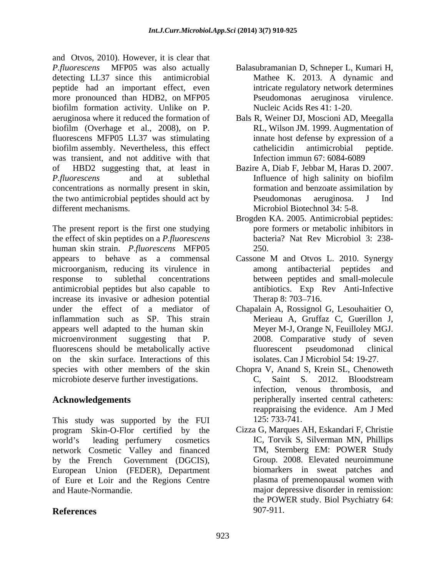and Otvos, 2010). However, it is clear that *P.fluorescens* MFP05 was also actually Balasubramanian D, Schneper L, Kumari H, detecting LL37 since this antimicrobial Mathee K. 2013. A dynamic and peptide had an important effect, even more pronounced than HDB2, on MFP05 biofilm formation activity. Unlike on P. aeruginosa where it reduced the formation of Bals R, Weiner DJ, Moscioni AD, Meegalla biofilm (Overhage et al., 2008), on P. fluorescens MFP05 LL37 was stimulating biofilm assembly. Nevertheless, this effect cathelicidin antimicrobial peptide. was transient, and not additive with that of HBD2 suggesting that, at least in Bazire A, Diab F, Jebbar M, Haras D. 2007. *P.fluorescens* and at sublethal concentrations as normally present in skin, the two antimicrobial peptides should act by The Pseudomonas aeruginosa. J Ind different mechanisms. Microbiol Biotechnol 34: 5-8.

The present report is the first one studying the effect of skin peptides on a *P.fluorescens*  human skin strain. *P.fluorescens* MFP05 appears to behave as a commensal Cassone M and Otvos L. 2010. Synergy microorganism, reducing its virulence in among antibacterial peptides and response to sublethal concentrations between peptides and small-molecule antimicrobial peptides but also capable to increase its invasive or adhesion potential Therap 8: 703–716. under the effect of a mediator of Chapalain A, Rossignol G, Lesouhaitier O, inflammation such as SP. This strain appears well adapted to the human skin microenvironment suggesting that P. 2008. Comparative study of seven fluorescens should be metabolically active fluorescent pseudomonad clinical on the skin surface. Interactions of this species with other members of the skin Chopra V, Anand S, Krein SL, Chenoweth microbiote deserve further investigations. C, Saint S. 2012. Bloodstream

This study was supported by the FUI 125:733-741. program Skin-O-Flor certified by the world's leading perfumery cosmetics IC, Torvik S, Silverman MN, Phillips network Cosmetic Valley and financed by the French Government (DGCIS), Group. 2008. Elevated neuroimmune European Union (FEDER), Department of Eure et Loir and the Regions Centre

- Mathee K. 2013. A dynamic and intricate regulatory network determines Pseudomonas aeruginosa virulence. Nucleic Acids Res 41: 1-20.
- RL, Wilson JM. 1999. Augmentation of innate host defense by expression of a cathelicidin antimicrobial peptide. Infection immun 67: 6084-6089
- Influence of high salinity on biofilm formation and benzoate assimilation by Pseudomonas aeruginosa. J Ind
- Brogden KA. 2005. Antimicrobial peptides: pore formers or metabolic inhibitors in bacteria? Nat Rev Microbiol 3: 238- 250.
- among antibacterial peptides and antibiotics. Exp Rev Anti-Infective Therap  $8: 703 - 716$ .
- Merieau A, Gruffaz C, Guerillon J, Meyer M-J, Orange N, Feuilloley MGJ. fluorescent pseudomonad clinical isolates. Can J Microbiol 54: 19-27.
- **Acknowledgements**  peripherally inserted central catheters: C, Saint S. 2012. Bloodstream infection, venous thrombosis, and reappraising the evidence. Am J Med 125: 733-741.
- and Haute-Normandie. major depressive disorder in remission: **References**  Cizza G, Marques AH, Eskandari F, Christie TM, Sternberg EM: POWER Study biomarkers in sweat patches and plasma of premenopausal women with the POWER study. Biol Psychiatry 64: 907-911.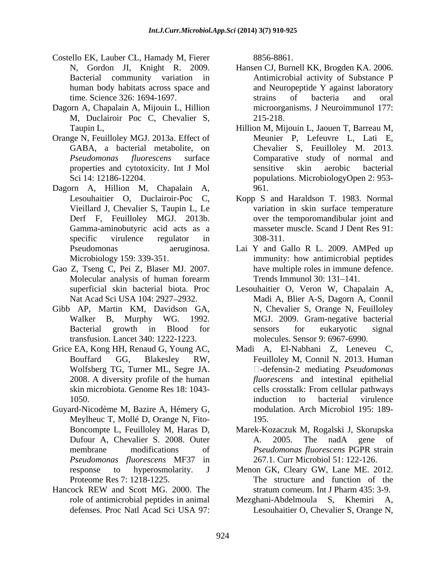- Costello EK, Lauber CL, Hamady M, Fierer
- Dagorn A, Chapalain A, Mijouin L, Hillion M, Duclairoir Poc C, Chevalier S,
- Orange N, Feuilloley MGJ. 2013a. Effect of
- Dagorn A, Hillion M, Chapalain A, Gamma-aminobutyric acid acts as a
- Gao Z, Tseng C, Pei Z, Blaser MJ. 2007.
- Gibb AP, Martin KM, Davidson GA, transfusion. Lancet 340: 1222-1223.
- 
- Guyard-Nicodème M, Bazire A, Hémery G, Meylheuc T, Mollé D, Orange N, Fito195. *Pseudomonas fluorescens* MF37 in
- Hancock REW and Scott MG. 2000. The stratum corneum. Int J Pharm 435: 3-9.

8856-8861.

- N, Gordon JI, Knight R. 2009. Hansen CJ, Burnell KK, Brogden KA. 2006. Bacterial community variation in Antimicrobial activity of Substance P human body habitats across space and and Neuropeptide Y against laboratory time. Science 326: 1694-1697. The strains of bacteria and oral strains of bacteria and oral microorganisms. J Neuroimmunol 177: 215-218.
- Taupin L, Hillion M, Mijouin L, Jaouen T, Barreau M, GABA, a bacterial metabolite, on Chevalier S, Feuilloley M. 2013. *Pseudomonas fluorescens* surface Comparative study of normal and properties and cytotoxicity. Int J Mol Sci 14: 12186-12204. populations. MicrobiologyOpen 2: 953- Meunier P, Lefeuvre L, Lati E, sensitive skin aerobic bacterial 961.
- Lesouhaitier O, Duclairoir-Poc C, Kopp S and Haraldson T. 1983. Normal Vieillard J, Chevalier S, Taupin L, Le variation in skin surface temperature Derf F, Feuilloley MGJ. 2013b. over the temporomandibular joint and specific virulence regulator in 308-311. masseter muscle. Scand J Dent Res 91: 308-311.
- Pseudomonas aeruginosa. Lai Y and Gallo R L. 2009. AMPed up Microbiology 159: 339-351. immunity: how antimicrobial peptides Molecular analysis of human forearm Trends Immunol 30: 131–141. have multiple roles in immune defence. Trends Immunol 30: 131–141.
- superficial skin bacterial biota. Proc Lesouhaitier O, Veron W, Chapalain A, Nat Acad Sci USA 104: 2927 2932. Madi A, Blier A-S, Dagorn A, Connil Walker B, Murphy WG. 1992. MGJ. 2009. Gram-negative bacterial Bacterial growth in Blood for N, Chevalier S, Orange N, Feuilloley sensors for eukaryotic signal molecules. Sensor 9: 6967-6990.
- Grice EA, Kong HH, Renaud G, Young AC, Madi A, El-Nabhani Z, Leneveu C, Bouffard GG, Blakesley RW, Feuilloley M, Connil N. 2013. Human Wolfsberg TG, Turner ML, Segre JA.  $\Box$ -defensin-2 mediating *Pseudomonas* 2008. A diversity profile of the human *fluorescens* and intestinal epithelial skin microbiota. Genome Res 18: 1043- 1050. **1050** induction to bacterial virulence Feuilloley M, Connil N. 2013. Human  $\square$ -defensin-2 mediating *Pseudomonas* cells crosstalk: From cellular pathways induction to bacterial virulence modulation. Arch Microbiol 195: 189- 195.
	- Boncompte L, Feuilloley M, Haras D, Marek-Kozaczuk M, Rogalski J, Skorupska Dufour A, Chevalier S. 2008. Outer A. 2005. The nadA gene of membrane modifications of *Pseudomonas fluorescens* PGPR strain A. 2005. The nadA gene of *Pseudomonas fluorescens* PGPR strain 267.1. Curr Microbiol 51: 122-126.
	- response to hyperosmolarity. J Menon GK, Cleary GW, Lane ME. 2012. Proteome Res 7: 1218-1225. The structure and function of the stratum corneum. Int J Pharm 435: 3-9.
	- role of antimicrobial peptides in animal Mezghani-Abdelmoula S, Khemiri A, defenses. Proc Natl Acad Sci USA 97: Lesouhaitier O, Chevalier S, Orange N,